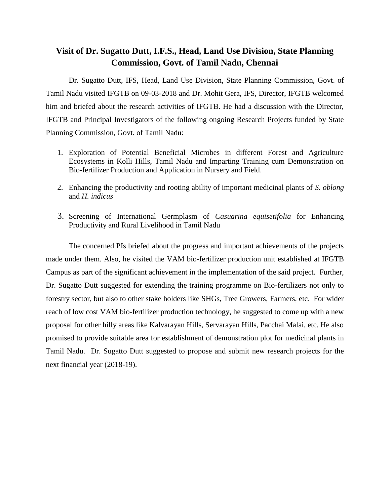## **Visit of Dr. Sugatto Dutt, I.F.S., Head, Land Use Division, State Planning Commission, Govt. of Tamil Nadu, Chennai**

Dr. Sugatto Dutt, IFS, Head, Land Use Division, State Planning Commission, Govt. of Tamil Nadu visited IFGTB on 09-03-2018 and Dr. Mohit Gera, IFS, Director, IFGTB welcomed him and briefed about the research activities of IFGTB. He had a discussion with the Director, IFGTB and Principal Investigators of the following ongoing Research Projects funded by State Planning Commission, Govt. of Tamil Nadu:

- 1. Exploration of Potential Beneficial Microbes in different Forest and Agriculture Ecosystems in Kolli Hills, Tamil Nadu and Imparting Training cum Demonstration on Bio-fertilizer Production and Application in Nursery and Field.
- 2. Enhancing the productivity and rooting ability of important medicinal plants of *S. oblong*  and *H. indicus*
- 3. Screening of International Germplasm of *Casuarina equisetifolia* for Enhancing Productivity and Rural Livelihood in Tamil Nadu

The concerned PIs briefed about the progress and important achievements of the projects made under them. Also, he visited the VAM bio-fertilizer production unit established at IFGTB Campus as part of the significant achievement in the implementation of the said project. Further, Dr. Sugatto Dutt suggested for extending the training programme on Bio-fertilizers not only to forestry sector, but also to other stake holders like SHGs, Tree Growers, Farmers, etc. For wider reach of low cost VAM bio-fertilizer production technology, he suggested to come up with a new proposal for other hilly areas like Kalvarayan Hills, Servarayan Hills, Pacchai Malai, etc. He also promised to provide suitable area for establishment of demonstration plot for medicinal plants in Tamil Nadu. Dr. Sugatto Dutt suggested to propose and submit new research projects for the next financial year (2018-19).